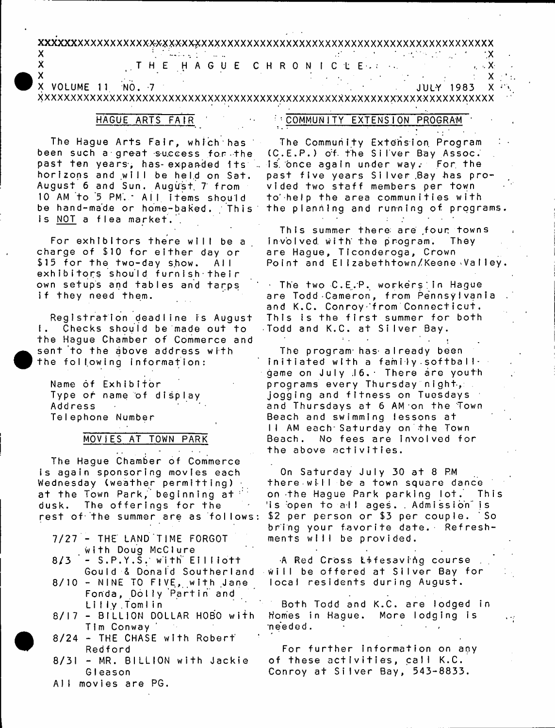#### XXXXXXXXXXXXXXXXXXX-XXXXXXXXXXXXXXXXXXXXXXXXXXXXXXXXXXXXXXXXXXXXXXXXXXX

# ${\sf X}$  . In the contract of the contract of the contract of the contract of the contract of the contract of the contract of the contract of the contract of the contract of the contract of the contract of the contract of t X T H E H A G U E C HR ON ICLE-\* --. X:

 ${\sf X}$  is a set of the set of the set of the set of the set of the set of the set of the  ${\sf X}$ X VOLUME 11 :NO. 7 JULY 1983 X 

# HAGUE ARTS FAIR '

: COMMUNITY EXTENSION PROGRAM  $\sim 10^6$ 

The Hague Arts Fair, which has been such a great success for the past ten years, has expanded its . Is once again under way. For the horizons and will be held on Sat. August 6 and Sun. August 7 from 10 AM to 5 PM. All items should be hand-made or home-baked. This is NOT a flea market.

For exhibitors there will be a charge of \$10 for either day or \$15 for the two-day show. All exhibitors should furnish their own setups and tables and tarps if they need them.

Registration deadline is August 1. Checks should be made out to the Hague Chamber of Commerce and sent to the above address with the following information:

Name of Exhibitor Type or name of display Address TeIephone Number

# MOVIES AT TOWN PARK

The Hague Chamber of Commerce is again sponsoring movies each Wednesday (weather permitting)  $\overline{a}$ at the Town Park, beginning at dusk. The offerings for the rest of the summer are as follows:

- $7/27$  THE LAND TIME FORGOT with Doug McClure
- $8/3 S.P.Y.S.$  with  $E11110T$ Gould & Donald Southerland
- $8/10$  NINE TO FIVE, with Jane Fonda, Dolly Partin and Lilly Tomlin
- 8/17 BILLION DOLLAR HOBO with TIm Conway
- $8/24$  THE CHASE with Robert Redford
- $8/31$  MR. BILLION with Jackie GIeason
- All movies are PG.

The Community Extension Program (C.E.P.) of the Silver Bay Assoc. past five years Silver Bay has provided two staff members per town to help the area communities with the planning and running of programs.

This summer there are four towns involved with the program. They are Hague, Tlconderoga, Crown Point and Elizabethtown/Keene Valley.

The two C.E.P. workers in Haque are Todd Cameron, from Pennsylvania and K.C. Conroy from Connecticut. This is the first summer for both Todd and K.C. at Silver Bay.

 $\mathbf{1}$  .

The program has already been  $initial$  in itiated with a family softballgame on July 16. There are youth programs every Thursday night, jogging and fitness on Tuesdays and Thursdays at 6 AM on the Town Beach and swimming lessons at II AM each Saturday on the Town Beach. No fees are involved for the above activities.

On Saturday July 30 at 8 PM there will be a town square dance on the Hague Park parking lot. This 'is open to all ages. . Admission" is \$2 per person or \$3 per couple. So bring your favorite date. Refreshments will be provided.

A Red Cross Lifesaving course will be offered at Silver Bay for local residents during August.

Both Todd and K.C. are lodged in Homes in Hague. More lodging is  $n \epsilon$ eded.

 $\sim$   $\sim$ 

For further information on any of these activities, call K.C. Conroy at Silver Bay, 543-8833.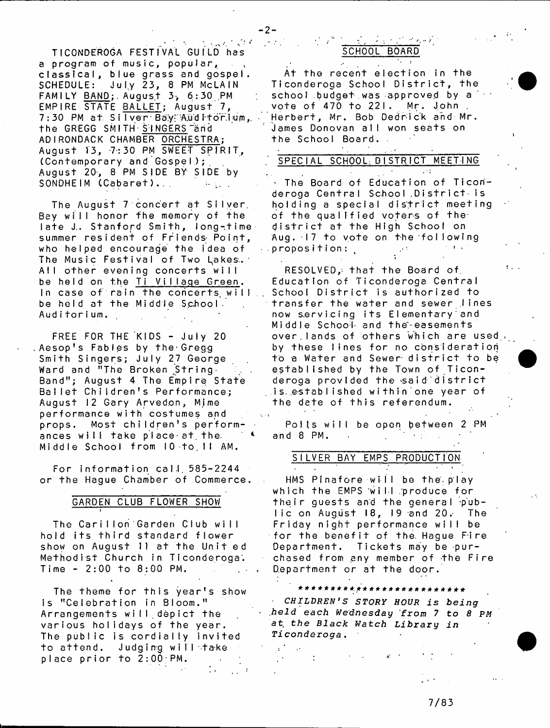TICONDEROGA FESTIVAL GUILD has a program of music, popular, classical, blue grass and gospel. SCHEDULE: July 23, 8 PM McLAIN FAMILY BAND; August 3, 6:30 PM EMPIRE STATE BALLET; August 7, 7:30 PM at Silver Bay Auditorium, the GREGG SMITH-SINGERS"arid ADIRONDACK CHAMBER ORCHESTRA; August 13, 7:30 PM SWEET SPIRIT,  $($  C  $\circ$  n  $t$  emporary and  $\circ$  G  $\circ$  s pelds  $\circ$  ; August 20, 8 PM SIDE BY SIDE by SONDHEIM (Cabaret)... . . . . . .

The August 7 concert at Silver. Bey will honor the memory of the  $\mathsf{late}\ \mathsf{J.}\ \mathsf{Stanford}\ \mathsf{Smith}\ \mathsf{long-time}\ \mathsf{I}$ summer resident of Friends- Point, who helped encourage the idea of The Music Festival of Two Lakes. All other evening concerts will be held on the Ti Village Green. In case of rain the concerts, will be held at the Middle School. Auditorium.

FREE FOR THE KIDS - July 20 Aesop's Fables by the-Gregg Smith Singers; July 27 George Ward and "The Broken String . Band"; August 4 The Empire State Ballet Children's Performance; August 12 Gary Arvedon, Mime performance with costumes and props. Most children's performances will take place at the Middle School from 10 to 11 AM.

For information call 585-2244 or the Hague Chamber of Commerce.

#### GARDEN CLUB FLOWER SHOW

i

The Carillon Garden Club will hold its third standard flower show on August 11 at the Unit ed Methodist Church in Ticonderoga.  $Time - 2:00 to 8:00 PM.$ 

The theme for this year's show is "Celebration in Bloom." Arrangements will.depict the various holidays of the year. The public is cordially invited to attend. Judging will take place prior to 2:00;PM.

# 医异常性关节的 SCHOOL BOARD

At the recent election in the Ticonderoga School District, the school budget was approved by a vote of 470 to 221. Mr. John Herbert, Mr. Bob Dedrick and Mr. James Donovan all won seats on the School Board.

#### SPECIAL SCHOOL; DISTRICT MEETING

The Board of Education of Ticonderoga Central School District is holding a special district meeting of the qualified voters of the district at the High School on Aug. 17 to vote on the following  $\alpha$  proposition:  $\alpha$ 

 $RESOLVED, that the Board of$ Education of Ticonderoga Central School District is authorized to transfer the water and sewer lines now servicing its Elementary and Middle School and the easements over lands of others which are used, by these lines for no consideration to a Water and Sewer district to be established by the Town of Ticonderoga provided the said district is.established within one year of the date of this referendum.

Polls will be open between 2 PM and 8 PM.

#### SILVER BAY EMPS PRODUCTION

HMS Pinafore will be the play which the EMPS will produce for their guests and the general public on August  $18$ , 19 and  $20$ . The Friday night performance will be for the benefit of the Hague Fire Department. Tickets may be purchased from any member of the Fire Department or at the door.

\* \* \* \* \* \* \* \* \* a - \* \* \* \* \* \* \* \* \* \* \* \* \* \* \* \* - *C H I L D R E N •S STORY HOUR is being .held each Wednesday from* 7 *to 8 PM at the Black Watch Library in Ticonderoga*.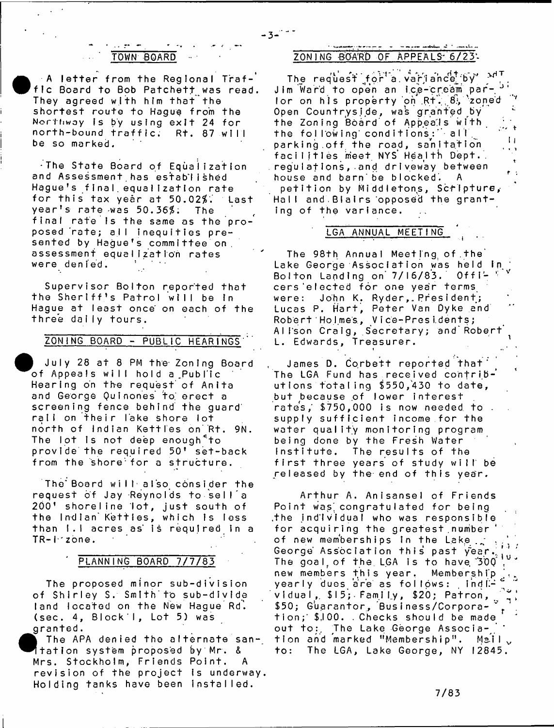## TOWN BOARD

 $\bullet$ <sub>f</sub>  $\pm$  A letter from the Regional Traffic Board to Bob Patchett was read. They agreed with him that the shortest route to Hague from the Northway is by using exit 24 for north-bound traffic. Rt. 87 will be so marked.

. The State Board of Equalization and Assessment has established Hague's final equalization rate for this tax year at 50.02\$.' Last year's rate was 50.36\$; The final rate is the same as the proposed rate; all inequities presented by Hague's committee on, assessment equalization rates were denied.

Supervisor Bolton reported that the Sheriff's Patrol will be in Hague at least once on each of the three daily tours.

#### ZONING BOARD - PUBLIC HEARINGS

July 28 at 8 PM the Zoning Board of Appeals will hold a Public Hearing on the request' of Anita and George Quinones to erect a screening fence behind the guard' rall on their lake shore lot north of Indian Kettles on Rt. 9N. The lot is not deep enough<sup>«</sup>to provide the required 50' set-back from the shore for a structure.

The Board will also consider the request of Jay Reynolds to sell a 200' shoreline lot, just south of the Indian Kettles, which is less than I.I acres as is required in a TR-I zone.

#### PLANNING BOARD 7/7/83

The proposed minor sub-division of Shirley S. Smith to sub-divide land located on the New Hague Rd. (sec. 4,  $Block$  ),  $Lot$  5) was granted.

 $\begin{array}{c} \bullet \\ \bullet \\ \bullet \\ \bullet \\ \bullet \\ \bullet \\ \bullet \\ \bullet \\ \bullet \end{array}$ The APA denied the alternate santation system proposed by Mr. & Mrs. Stockholm, Friends Point. A revision of the project is underway. Holding tanks have been installed.

i

# ZONING BOARD OF APPEALS 6/23:

The request for a variation  $e^{i\phi}$  of  $\phi'$ J im Ward to open an ice-cream par- J ' lor on his property on Rt. 8, 'zoned <sup>7</sup> Open Countryside, was granted by the Zoning Board'of Appeajs with *' ^* the following conditions:" all  $\mathbf{1}$ parking.off the road, sanitation  $\cdot$   $\cdot$ facilities meet NYS Health Dept.  $\hat{\mathbf{r}}$ requiations, and driveway between  $\mathbf{r}$  : house and barn be blocked. A petition by Middletons, Scripture, Hall and Blairs opposed the granting of the variance.

#### LGA ANNUAL MEETING

The 98th Annual Meeting of the Lake George Association was held in Bolton Landing on 7/16/83. Officers'elected for one year terms were: John K. Ryder, President; Lucas P. Hart, Peter Van Dyke and Robert Holmes, Vice-Presidents; Alison Craig, Secretary; and Robert L. Edwards, Treasurer. i ...

James D. Corbett reported that The LGA Fund has received contributions totaling \$550,430 to date, but because of lower interest rates, \$750,000 is now needed to . supply sufficient income for the water quality monitoring program being done by the Fresh Water Institute. The results of the first three years of study will be released by the end of this year.

Arthur A. Anisansel of Friends Point was congratulated for being the individual who was responsible. for acquiring the greatest number of new memberships in the Lake., George Association this past year. The goal of the LGA is to have  $300^\circ$ new members this year. Membership yearly dues are as follows:  $\text{ind} \mathbb{H}^2$ vidual, \$15; Family, \$20; Patron,  $[\,\,z\,]$ \$50; Guarantor, Business/Corpora- i.i. tion; \$,100. . Checks should be made out to:. The Lake George Association and marked "Membership". Mail v to: The LGA, Lake George, NY 12845.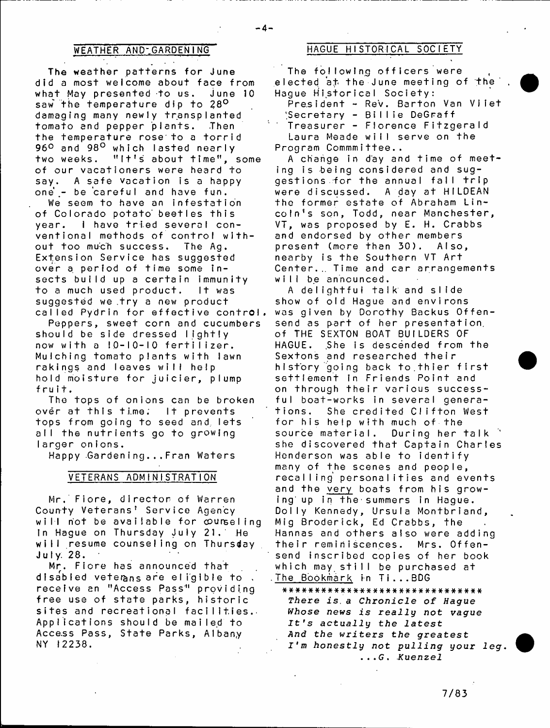#### WEATHER AND-GARDENING

The weather patterns for June did a most welcome about face from what May presented to us. June 10 saw the temperature dip to 28<sup>0</sup> damaging many newly transplanted tomato and pepper plants. Then the temperature rose to a torrid 96° and 98° which lasted nearly two weeks. "It's about time", some of our vacationers were heard to say. A safe vacation is a happy one – be careful and have fun.

We seem to have an infestation of Colorado potato' beetles this year. I have tried several conventional methods of control without too much success. The Ag. Extension Service has suggested over a period of time some insects build up a certain immunity to a much used product. It was suggested we .try a new product called Pydrin for effective control

Peppers, sweet corn and cucumbers should be side dressed lightly now with a IO-10-10 fertilizer. Mulching tomato plants with lawn rakings and leaves will help hold moisture for juicier, plump fruit.

The tops of onions can be broken over at this time: It prevents tops from going to seed and lets all the nutrients go to growing Iarger onions.

Happy Gardening...Fran Waters

#### VETERANS ADMINISTRATION

Mr. Fiore, director of Warren County Veterans' Service Agency will not be available for counseling In Hague on Thursday July 21. He will resume counseling on Thursday J u I y. 2 8.

Mr. Fiore has announced that disabled veterans are eligible to. receive an "Access Pass" providing free use of state parks, historic sites and recreational facilities.- Applications should be mailed to Access Pass, State Parks, Albany NY 12238.

## HAGUE HISTORICAL SOCIETY

The following officers were elected at the June meeting of the\* Hague Historical Society: President - Rev. Barton Van Viiet 'Secretary - Billie DeGraff  $\mathbf{C}(\mathbf{q})$ Treasurer - Florence Fitzgerald

Laura Meade will serve on the Program Commmittee..

A change in day and time of meeting is being considered and suggestions for the annual fall trip were discussed. A day at HILDEAN the former estate of Abraham Lincoln's son, Todd, near Manchester, VT, was proposed by E. H. Crabbs and endorsed by other members present (more than 30), Also, nearby is the Southern VT Art Center... Time and car arrangements will be announced.

A delightful talk and slide show of old Hague and environs was given by Dorothy Backus Offensend as part of her presentation. of THE SEXTON BOAT BUILDERS OF HAGUE. She is descended from the Sextons and researched their history going back to.thier first settlement in Friends Point and on through their various successful boat-works in several generations. She credited Clifton West for his help with much of the source material. During her talk she discovered that Captain Charles Henderson was able to identify many of the scenes and people, recalling personalities and events and the very boats from his growing up in the summers in Hague. Dolly Kennedy, Ursula Montbriand, Mig Broderick, Ed Crabbs, the Hannas and others also were adding their reminiscences. Mrs. Offensend inscribed copies of her book which may still be purchased at .The Bookmark in Ti...BDG

\*\*\*\*###\*####\*\*################# There is a Chronicle of Hague *Whose news is really not vague It's actually the latest And the writers the greatest I'm honestly not p u l ling your 1 e g* . ...*G* . *Kuenzel*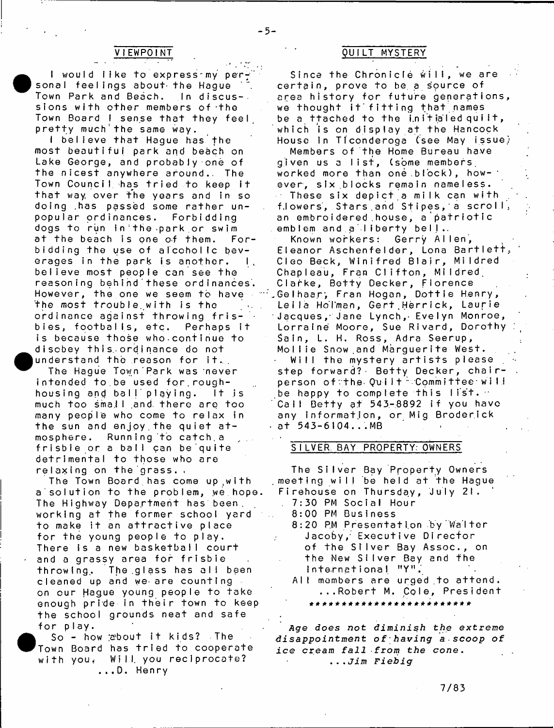#### **VIEWPOINT**

**•** I would like to express my per sonal feelings about- the Hague Town Park and Beach. In discussions with other members of the Town Board I sense that they feel pretty much'the same way.

I believe that Hague has the most beautiful park and beach on Lake George, and probably one of the nicest anywhere around.. The Town Council has tried to keep it that way, over the years and in so doing has passed some rather unpopular ordinances. Forbidding dogs to run in the park or swim at the beach is one of them. Forbidding the use of alcoholic beverages in the park is another.  $\vert$ , believe most people can see the reasoning behind these ordinances. However, the one we seem to have the most trouble with is the ordinance against throwing frisbies, footballs, etc. Perhaps it is because those who continue to disobey this ordinance do not understand the reason for it.

The Hague Town Park was never intended to.be used for.roughhousing and ball playing. It is much too small and there are too many people who come to relax in the sun and enjoy the quiet atmosphere. Running to catch.a frisbie or a ball can be quite detrimental to those who are relaxing on the'grass. .

The Town Board has come up with a solution to the problem, we hope. The Highway Department has been. working at the former school yard to make it an attractive place for the young people to play. There is a new basketbail court and a grassy area for frisbie throwing. The glass has all been cleaned up and we are counting on our Hague young people to take enough pride in their town to keep the school grounds neat and safe for play.

 $\bullet$ <sub>r</sub> So - how about it kids? The Town Board has tried to cooperate with you. Will you reciprocate? ...D. Henry

## QUILT MYSTERY

Since the Chronicle will, we are certain, prove to be a source of area history for future generations we thought it fitting that names be a ttached to the initialed quilt, which is on display at the Hancock House in Ticonderoga (see May issue)

Members of the Home Bureau have given us a list, (some members worked more than one.block), however, six.blocks remain nameless. These six depict a milk can with f.lowers, Stars and Stipes, a scroll, an embroidered house, a patriotic emblem and a liberty bell.

Known workers: Gerry Allen, Eleanor Aschenfelder, Lona Bartlett, Cleo Beck, Winifred Blair, Mildred Chapleau, Fran Clifton, Mildred. Clarke, Betty Decker, Florence .Gelhaar, Fran Hogan, Dottie Henry, Leila Holman, Gert Herrick, Laurie 1 Jacques Jane Lynch,- Evelyn Monroe, Lorraine Moore, Sue Rivard, Dorothy Sain, L. H. Ross, Adra Seerup, Mollie Snow and Marguerite West. Will the mystery artists please step forward?- Betty Decker, chairperson of the Quilt Committee will be happy to complete this list.  $\cdot$ Call Betty at 543-8892 if you have any information, or Mig Broderick  $-$  at 543-6104...MB

#### SILVER. BAY PROPERTY. OWNERS

The Silver Bay Property Owners meeting will be held at the Hague Firehouse on Thursday, July 21. 7:30 PM Social Hour 8:00 PM Business 8:20 PM Presentation by Walter Jacoby/ Executive Director of the Silver Bay Assoc., on the New Silver Bay and the  $International, "YY".$ All members are urged to attend. ...Robert M. Cole, President i f # # \* \* \* # \* \* \* \* \* # # \* \* # \* \* ) ! - # # \* \* \*

*Age does not diminish the extreme disappoint me nt of hav in g a scoop of* ice cream fall from the cone. *...Jim Fiebig*

 $-5-$ 

7/83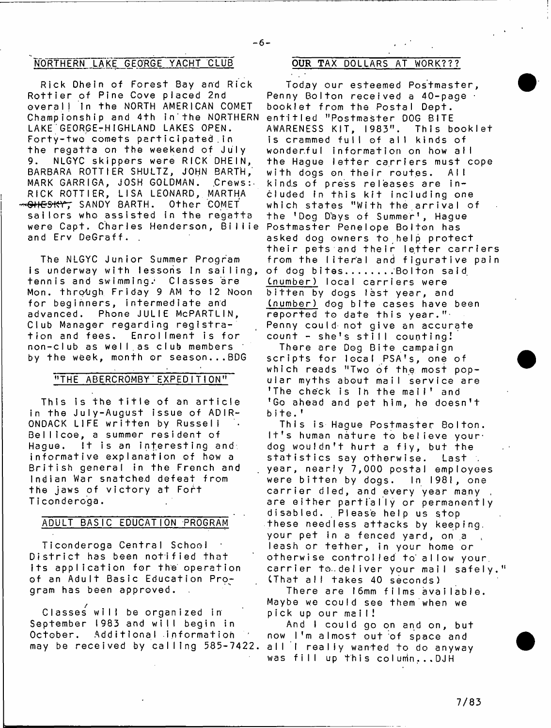# NORTHERN LAKE GEORGE YACHT CLUB OUR TAX DOLLARS AT WORK???

Rick Dhein of Forest Bay and Rick Rottier of Pine Cove placed 2nd overall in the NORTH AMERICAN COMET Championship and 4th in the NORTHERN entitled "Postmaster DOG BITE LAKE GEORGE-HIGHLAND LAKES OPEN. Forty-two comets participated in the regatta on the weekend of July 9. NLGYC skippers were RICK DHEIN, BARBARA ROTTIER SHULTZ, JOHN BARTH, MARK GARRIGA, JOSH GOLDMAN. Crews: RICK ROTTIER, LISA LEONARD, MARTHA SANDY BARTH. Other COMET sailors who assisted in the regatta were Capt. Charles Henderson, Billie Postmaster Penelope Bolton has and Erv DeGraff. .

The NLGYC Junior Summer Program is underway with lessons in sailing, tennis and swimming.' Classes are Mon. through Friday 9 AM to 12 Noon for beginners, intermediate and advanced. Phone JULIE MePARTLIN, Club Manager regarding registration and fees. Enrollment is for non-club as well as club members by the week, month or season...BDG

#### "THE ABERCROMBY EXPEDITION"

This is the title of an article in the July-August issue of ADIR-ONDACK LIFE written by Russell Bellicoe, a summer resident of Haque. It is an interesting and informative explanation of how a British general in the French and Indian War snatched defeat from the jaws of victory at Fort Ticonderoga.

#### ADULT BASIC EDUCATION PROGRAM

Ticonderoga Central School District has been notified that its application for the operation of an Adult Basic Education Program has been approved.

.<br>Classes will be organized in September 1983 and will begin in October. Additional information may be received by calling 585-7422.

-6-

Today our esteemed Postmaster, Penny Bolton received a 40-page booklet from the Postal Dept, AWARENESS KIT, 1983". This booklet is crammed full of all kinds of wonderful information on how all the Hague letter carriers must cope with dogs on their routes. All kinds of press releases are included in this kit including one which states "With the arrival of the 'Dog Days of Summer', Hague asked dog owners to help protect their pets and their letter carriers from the literal and figurative pain of dog bites........Bolton said (number) local carriers were bitten by dogs last year, and (number) dog bite cases have been reported to date this year."- Penny could not give an accurate  $count - she's still counting!$ 

There are Dog Bite campaign scripts for local PSA's, one of which reads "Two of the most popular myths about mail service are 'The check is in the mail' and 'Go ahead and pet him, he doesn't bite.'

This is Hague Postmaster Bolton. It's human nature to believe your. dog wouldn't hurt a fiy, but the statistics say otherwise. Last : year, nearly 7,000 postal employees were bitten by dogs. In 1981, one carrier died, and every year many, are either partially or permanently disabled. Please help us stop these needless attacks by keeping, your pet in a fenced yard, on a leash or tether, in your home or otherwise controlled to allow your, carrier to..deliver your mail safely." (That all takes 40 seconds)

There are 16mm films available. Maybe we could see them when we pick up our mail!

And I could go on and on, but now I'm almost out of space and all i really wanted to do anyway was fill up this column... DJH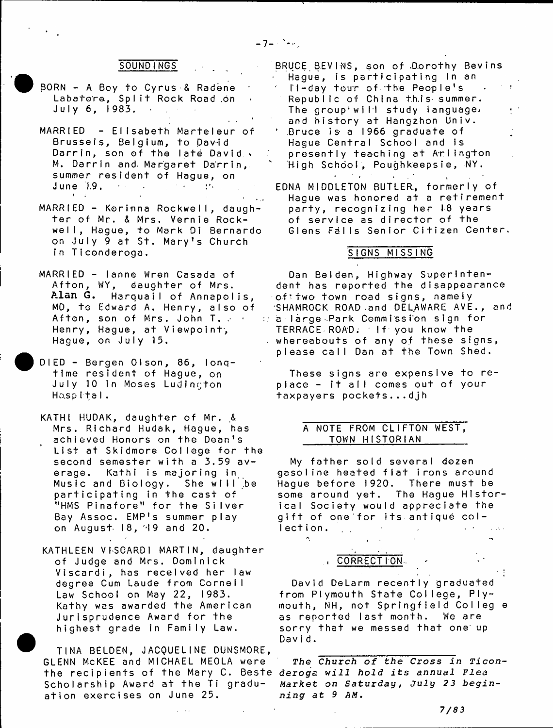#### SOUNDINGS

- BORN A Boy to Cyrus & Radene Labatore, Split Rock Road on July 6, 1983. .
- MARRIED Elisabeth Marteleur of Brussels, Belgium, to David Darrin, son of the late David . M. Darrin and Margaret Darrin, summer resident of Hague, on June 19. **A** . **A** . **A** . **A** .
- $MARRIED Korrinna Rockwell$ , daughter of Mr. & Mrs. Vernie Rockwell, Hague, to Mark Di Bernardo on July 9 at St. Mary's Church in Ticonderoga.
- MARRIED lanne Wren Casada of Afton, WY, daughter of Mrs. Alan **G.** Harquail of Annapolis, MD, to Edward A. Henry, also of Afton, son of Mrs. John T. - . Henry, Hague, at Viewpoint-, Hague, on July 15.
- DIED Bergen Olson, 86, longtime resident of Hague, on July 10 in Moses Ludington Ho.sp I t a I .
- KATHI HUDAK, daughter of Mr. & Mrs. Richard Hudak, Hague, has achieved Honors on the Dean's List at Skidmore College for the second semester with a 3.59 average. Kathi is majoring in Music and Biology. She will be participating in the cast of "HMS Pinafore" for the Silver Bay Assoc. EMP's summer play on August  $18, 49$  and  $20.$
- KATHLEEN VISCARDI MARTIN, daughter of Judge and Mrs. Dominick Viscardi, has received her law degree Cum Laude from Cornell Law School on May 22, I983. Kathy was awarded the American Jurisprudence Award for the highest grade in Family Law.

TINA BELDEN, JACQUELINE DUNSMORE, GLENN McKEE and MICHAEL MEOLA were the recipients of the Mary C. Beste *deroga will hold its annual Flea* Scholarship Award at the Ti graduation exercises on June 25.

BRUCE BEVINS, son of Dorothy Bevins Hague, is participating in an Il-day tour of the People's Republic of China this summer. The group will study language. and history at Hangzhon Univ. Bruce is a 1966 graduate of Hague Central School and is presently teaching at Arlington High School, Poughkeepsie, NY.  $\sim 100$  $\sim$ 

EDNA MIDDLETON BUTLER, formerly of Haque was honored at a retirement party, recognizing her 18 years of service as director of the Glens Falls Senior Citizen Center.

#### SIGNS MISSING

Dan Belden, Highway Superintendent has reported the disappearance of two town road signs, namely SHAMROCK ROAD.and DELAWARE AVE., and  $\therefore$  a large Park Commission sign for TERRACE ROAD. If you know the whereabouts of any of these signs, please call Dan at the Town Shed.

These signs are expensive to replace - it all comes out of your taxpayers pockets...djh

### A NOTE FROM CLIFTON WEST, TOWN HISTORIAN

My father sold several dozen gasoline heated flat irons around Hague before 1920. There must be some around yet. The Hague Historical Society would appreciate the gift of one for its antique col-Iect ion...  $\sim 10^{-11}$ 

. CORRECTION

David DeLarm recently graduated from Plymouth State College, Plymouth, NH, not Springfield Colleg e as reported last month. We are sorry that we messed that one up David.

*The Church of the Cross in Ticon-*Market on Saturday, July 23 beginning at 9 AM.